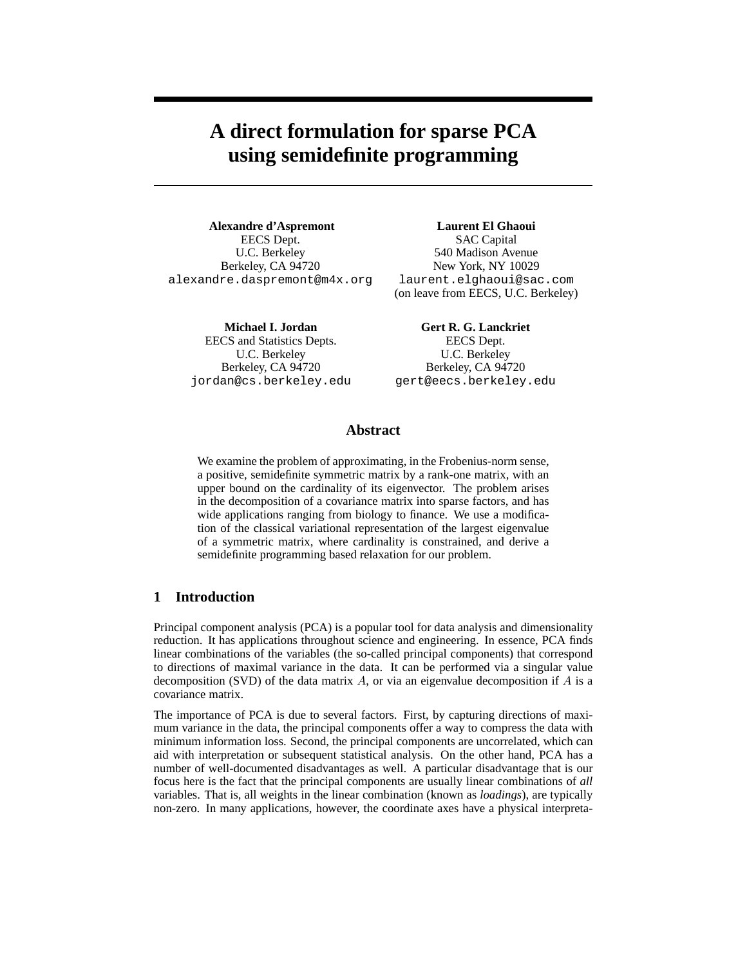# **A direct formulation for sparse PCA using semidefinite programming**

**Alexandre d'Aspremont** EECS Dept. U.C. Berkeley Berkeley, CA 94720 alexandre.daspremont@m4x.org

> **Michael I. Jordan** EECS and Statistics Depts. U.C. Berkeley Berkeley, CA 94720 jordan@cs.berkeley.edu

**Laurent El Ghaoui** SAC Capital 540 Madison Avenue New York, NY 10029 laurent.elghaoui@sac.com (on leave from EECS, U.C. Berkeley)

**Gert R. G. Lanckriet** EECS Dept. U.C. Berkeley Berkeley, CA 94720 gert@eecs.berkeley.edu

# **Abstract**

We examine the problem of approximating, in the Frobenius-norm sense, a positive, semidefinite symmetric matrix by a rank-one matrix, with an upper bound on the cardinality of its eigenvector. The problem arises in the decomposition of a covariance matrix into sparse factors, and has wide applications ranging from biology to finance. We use a modification of the classical variational representation of the largest eigenvalue of a symmetric matrix, where cardinality is constrained, and derive a semidefinite programming based relaxation for our problem.

## **1 Introduction**

Principal component analysis (PCA) is a popular tool for data analysis and dimensionality reduction. It has applications throughout science and engineering. In essence, PCA finds linear combinations of the variables (the so-called principal components) that correspond to directions of maximal variance in the data. It can be performed via a singular value decomposition (SVD) of the data matrix  $A$ , or via an eigenvalue decomposition if  $A$  is a covariance matrix.

The importance of PCA is due to several factors. First, by capturing directions of maximum variance in the data, the principal components offer a way to compress the data with minimum information loss. Second, the principal components are uncorrelated, which can aid with interpretation or subsequent statistical analysis. On the other hand, PCA has a number of well-documented disadvantages as well. A particular disadvantage that is our focus here is the fact that the principal components are usually linear combinations of *all* variables. That is, all weights in the linear combination (known as *loadings*), are typically non-zero. In many applications, however, the coordinate axes have a physical interpreta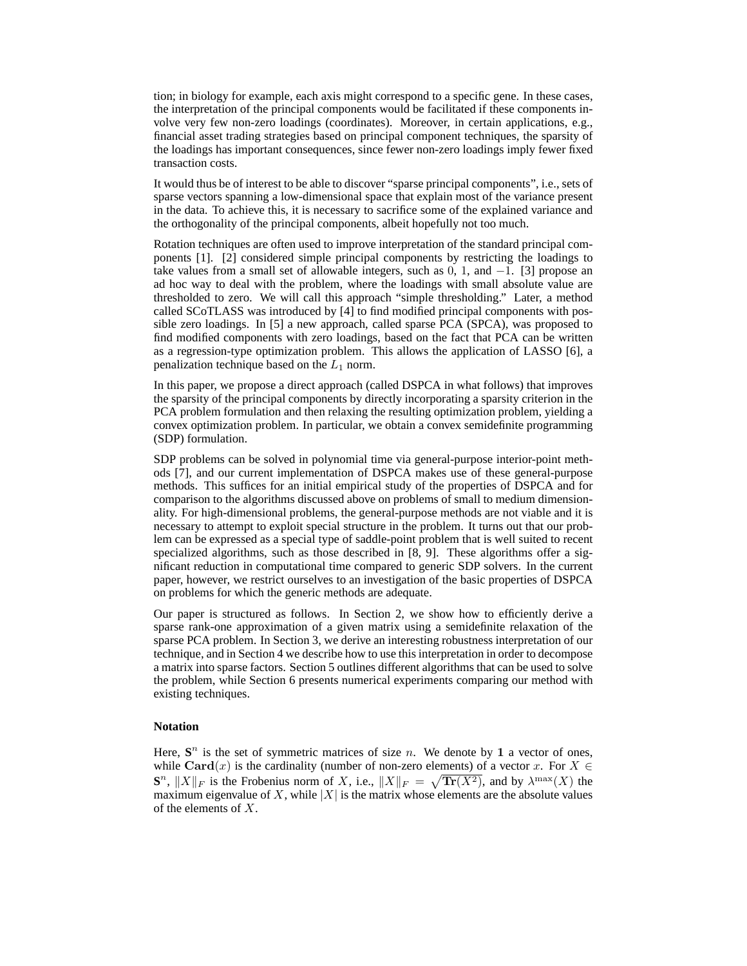tion; in biology for example, each axis might correspond to a specific gene. In these cases, the interpretation of the principal components would be facilitated if these components involve very few non-zero loadings (coordinates). Moreover, in certain applications, e.g., financial asset trading strategies based on principal component techniques, the sparsity of the loadings has important consequences, since fewer non-zero loadings imply fewer fixed transaction costs.

It would thus be of interest to be able to discover "sparse principal components", i.e., sets of sparse vectors spanning a low-dimensional space that explain most of the variance present in the data. To achieve this, it is necessary to sacrifice some of the explained variance and the orthogonality of the principal components, albeit hopefully not too much.

Rotation techniques are often used to improve interpretation of the standard principal components [1]. [2] considered simple principal components by restricting the loadings to take values from a small set of allowable integers, such as  $0, 1$ , and  $-1$ . [3] propose an ad hoc way to deal with the problem, where the loadings with small absolute value are thresholded to zero. We will call this approach "simple thresholding." Later, a method called SCoTLASS was introduced by [4] to find modified principal components with possible zero loadings. In [5] a new approach, called sparse PCA (SPCA), was proposed to find modified components with zero loadings, based on the fact that PCA can be written as a regression-type optimization problem. This allows the application of LASSO [6], a penalization technique based on the  $L_1$  norm.

In this paper, we propose a direct approach (called DSPCA in what follows) that improves the sparsity of the principal components by directly incorporating a sparsity criterion in the PCA problem formulation and then relaxing the resulting optimization problem, yielding a convex optimization problem. In particular, we obtain a convex semidefinite programming (SDP) formulation.

SDP problems can be solved in polynomial time via general-purpose interior-point methods [7], and our current implementation of DSPCA makes use of these general-purpose methods. This suffices for an initial empirical study of the properties of DSPCA and for comparison to the algorithms discussed above on problems of small to medium dimensionality. For high-dimensional problems, the general-purpose methods are not viable and it is necessary to attempt to exploit special structure in the problem. It turns out that our problem can be expressed as a special type of saddle-point problem that is well suited to recent specialized algorithms, such as those described in [8, 9]. These algorithms offer a significant reduction in computational time compared to generic SDP solvers. In the current paper, however, we restrict ourselves to an investigation of the basic properties of DSPCA on problems for which the generic methods are adequate.

Our paper is structured as follows. In Section 2, we show how to efficiently derive a sparse rank-one approximation of a given matrix using a semidefinite relaxation of the sparse PCA problem. In Section 3, we derive an interesting robustness interpretation of our technique, and in Section 4 we describe how to use this interpretation in order to decompose a matrix into sparse factors. Section 5 outlines different algorithms that can be used to solve the problem, while Section 6 presents numerical experiments comparing our method with existing techniques.

#### **Notation**

Here,  $S<sup>n</sup>$  is the set of symmetric matrices of size *n*. We denote by 1 a vector of ones, while Card(x) is the cardinality (number of non-zero elements) of a vector x. For  $X \in$  $\mathbf{S}^n$ ,  $||X||_F$  is the Frobenius norm of X, i.e.,  $||X||_F = \sqrt{\text{Tr}(X^2)}$ , and by  $\lambda^{\max}(X)$  the maximum eigenvalue of X, while  $|X|$  is the matrix whose elements are the absolute values of the elements of X.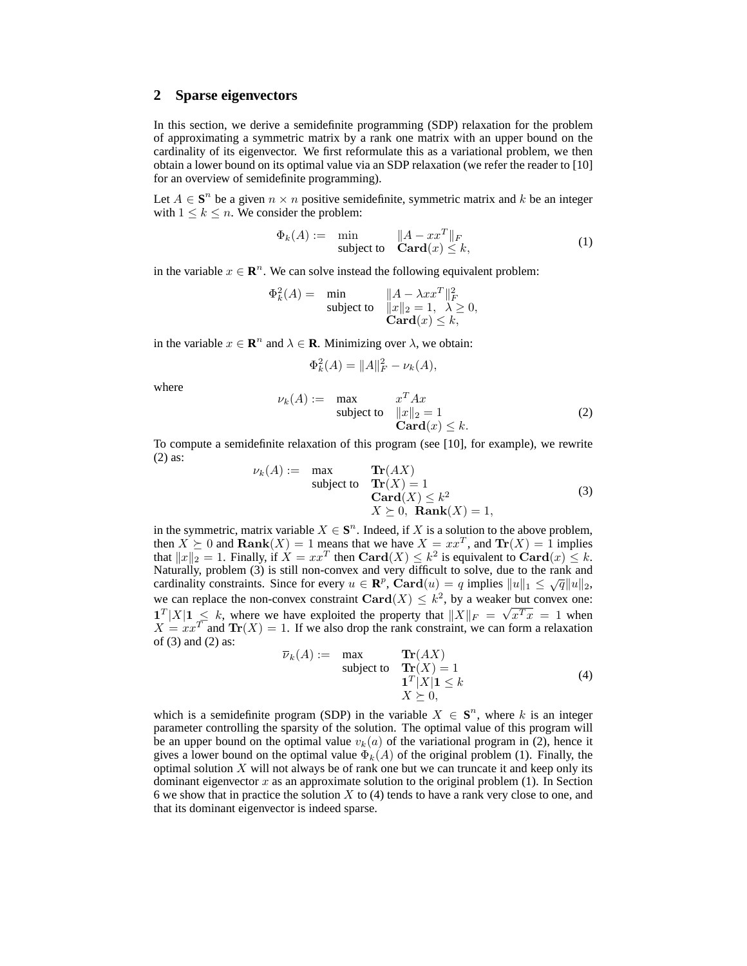## **2 Sparse eigenvectors**

In this section, we derive a semidefinite programming (SDP) relaxation for the problem of approximating a symmetric matrix by a rank one matrix with an upper bound on the cardinality of its eigenvector. We first reformulate this as a variational problem, we then obtain a lower bound on its optimal value via an SDP relaxation (we refer the reader to [10] for an overview of semidefinite programming).

Let  $A \in S^n$  be a given  $n \times n$  positive semidefinite, symmetric matrix and k be an integer with  $1 \leq k \leq n$ . We consider the problem:

$$
\Phi_k(A) := \min_{\text{subject to}} \quad \|A - xx^T\|_F
$$
  

$$
\text{Card}(x) \le k,
$$
 (1)

in the variable  $x \in \mathbb{R}^n$ . We can solve instead the following equivalent problem:

$$
\Phi_k^2(A) = \min_{\text{subject to}} \quad \begin{array}{l} \|A - \lambda x x^T\|_F^2\\ \|x\|_2 = 1, \ \lambda \ge 0, \\ \text{Card}(x) \le k, \end{array}
$$

in the variable  $x \in \mathbb{R}^n$  and  $\lambda \in \mathbb{R}$ . Minimizing over  $\lambda$ , we obtain:

$$
\Phi_k^2(A) = ||A||_F^2 - \nu_k(A),
$$

where

$$
\nu_k(A) := \max_{\text{subject to}} \n\begin{aligned}\n& x^T A x \\
& \|x\|_2 = 1 \\
& \text{Card}(x) \le k.\n\end{aligned}\n\tag{2}
$$

To compute a semidefinite relaxation of this program (see [10], for example), we rewrite (2) as:

$$
\nu_k(A) := \max_{\text{subject to}} \operatorname{Tr}(AX) \n\operatorname{Card}(X) = 1 \n\operatorname{Card}(X) \le k^2 \nX \succeq 0, \operatorname{Rank}(X) = 1,
$$
\n(3)

in the symmetric, matrix variable  $X \in \mathbf{S}^n$ . Indeed, if X is a solution to the above problem, then  $X \succeq 0$  and  $\text{Rank}(X) = 1$  means that we have  $X = xx^T$ , and  $\text{Tr}(X) = 1$  implies that  $||x||_2 = 1$ . Finally, if  $X = xx^T$  then  $\text{Card}(X) \le k^2$  is equivalent to  $\text{Card}(x) \le k$ . Naturally, problem (3) is still non-convex and very difficult to solve, due to the rank and cardinality constraints. Since for every  $u \in \mathbb{R}^p$ ,  $\text{Card}(u) = q$  implies  $||u||_1 \le \sqrt{q}||u||_2$ , we can replace the non-convex constraint Card $(X) \leq k^2$ , by a weaker but convex one:  $1^T |X|1 \le k$ , where we have exploited the property that  $||X||_F = \sqrt{x^T x} = 1$  when  $X = xx^T$  and  $Tr(X) = 1$ . If we also drop the rank constraint, we can form a relaxation of (3) and (2) as:

$$
\overline{\nu}_k(A) := \max_{\text{subject to}} \frac{\text{Tr}(AX)}{\text{Tr}(X) = 1} \tag{4}
$$
\n
$$
\frac{\mathbf{1}^T |X| \mathbf{1} \le k}{X \succeq 0},
$$

which is a semidefinite program (SDP) in the variable  $X \in \mathbf{S}^n$ , where k is an integer parameter controlling the sparsity of the solution. The optimal value of this program will be an upper bound on the optimal value  $v_k(a)$  of the variational program in (2), hence it gives a lower bound on the optimal value  $\Phi_k(A)$  of the original problem (1). Finally, the optimal solution  $X$  will not always be of rank one but we can truncate it and keep only its dominant eigenvector x as an approximate solution to the original problem  $(1)$ . In Section 6 we show that in practice the solution  $X$  to (4) tends to have a rank very close to one, and that its dominant eigenvector is indeed sparse.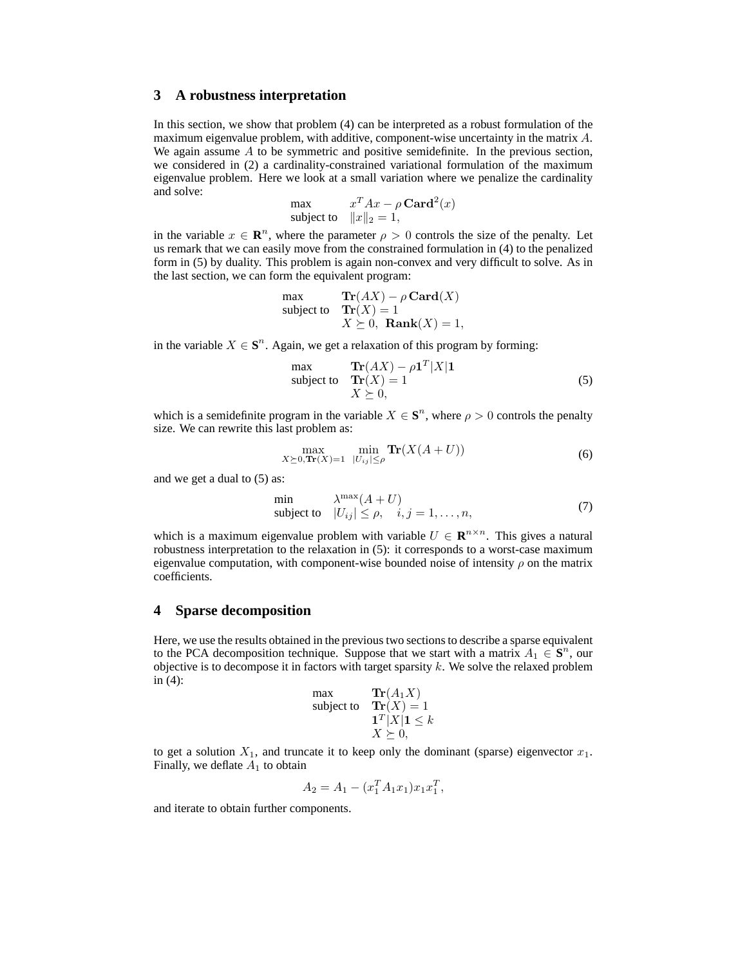# **3 A robustness interpretation**

In this section, we show that problem (4) can be interpreted as a robust formulation of the maximum eigenvalue problem, with additive, component-wise uncertainty in the matrix A. We again assume  $\vec{A}$  to be symmetric and positive semidefinite. In the previous section, we considered in (2) a cardinality-constrained variational formulation of the maximum eigenvalue problem. Here we look at a small variation where we penalize the cardinality and solve:

$$
\begin{array}{ll}\n\max & x^T A x - \rho \operatorname{\mathbf{Card}}^2(x) \\
\text{subject to} & \|x\|_2 = 1,\n\end{array}
$$

in the variable  $x \in \mathbb{R}^n$ , where the parameter  $\rho > 0$  controls the size of the penalty. Let us remark that we can easily move from the constrained formulation in (4) to the penalized form in (5) by duality. This problem is again non-convex and very difficult to solve. As in the last section, we can form the equivalent program:

$$
\begin{array}{ll}\n\max & \mathbf{Tr}(AX) - \rho \mathbf{Card}(X) \\
\text{subject to} & \mathbf{Tr}(X) = 1 \\
& X \succeq 0, \mathbf{Rank}(X) = 1,\n\end{array}
$$

in the variable  $X \in \mathbf{S}^n$ . Again, we get a relaxation of this program by forming:

max  
\nsubject to 
$$
\text{Tr}(AX) - \rho \mathbf{1}^T |X| \mathbf{1}
$$
\n
$$
X \succeq 0,
$$
\n(5)

which is a semidefinite program in the variable  $X \in \mathbf{S}^n$ , where  $\rho > 0$  controls the penalty size. We can rewrite this last problem as:

$$
\max_{X \succeq 0, \text{Tr}(X) = 1} \ \min_{|U_{ij}| \le \rho} \text{Tr}(X(A + U)) \tag{6}
$$

and we get a dual to (5) as:

$$
\min_{\text{subject to}} \quad \begin{array}{ll} \lambda^{\max}(A+U) \\ |U_{ij}| \le \rho, \quad i,j = 1,\dots, n, \end{array} \tag{7}
$$

which is a maximum eigenvalue problem with variable  $U \in \mathbb{R}^{n \times n}$ . This gives a natural robustness interpretation to the relaxation in (5): it corresponds to a worst-case maximum eigenvalue computation, with component-wise bounded noise of intensity  $\rho$  on the matrix coefficients.

## **4 Sparse decomposition**

Here, we use the results obtained in the previous two sections to describe a sparse equivalent to the PCA decomposition technique. Suppose that we start with a matrix  $A_1 \in S^n$ , our objective is to decompose it in factors with target sparsity k. We solve the relaxed problem in (4):

$$
\begin{array}{ll}\n\text{max} & \mathbf{Tr}(A_1 X) \\
\text{subject to} & \mathbf{Tr}(X) = 1 \\
& \mathbf{1}^T |X| \mathbf{1} \le k \\
& X \ge 0,\n\end{array}
$$

to get a solution  $X_1$ , and truncate it to keep only the dominant (sparse) eigenvector  $x_1$ . Finally, we deflate  $A_1$  to obtain

$$
A_2 = A_1 - (x_1^T A_1 x_1) x_1 x_1^T,
$$

and iterate to obtain further components.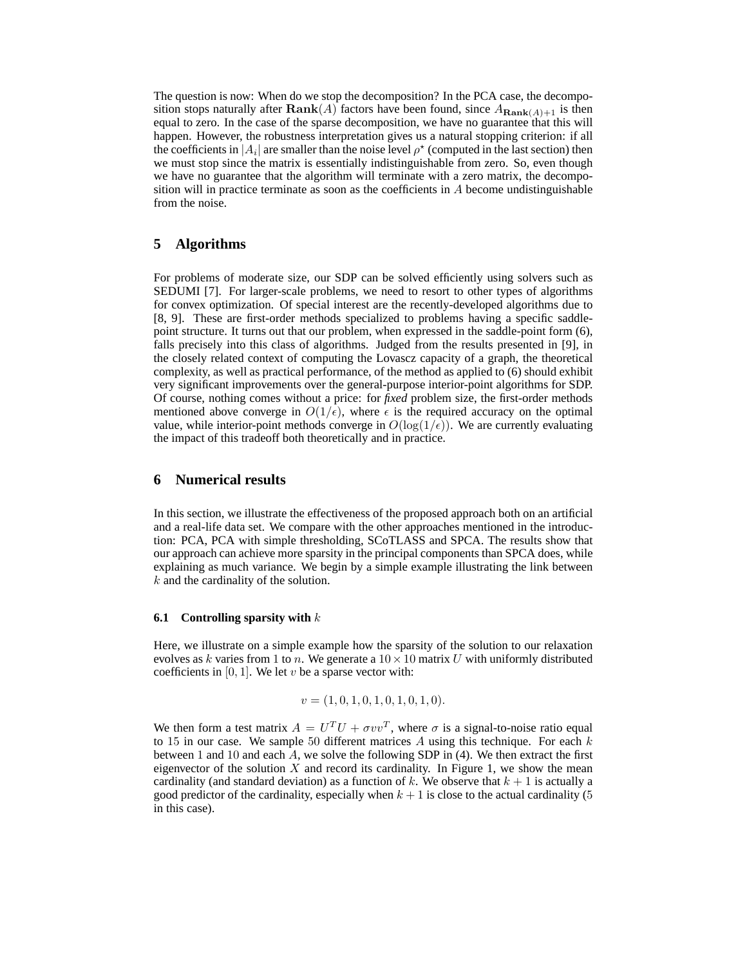The question is now: When do we stop the decomposition? In the PCA case, the decomposition stops naturally after  $\text{Rank}(A)$  factors have been found, since  $A_{\text{Rank}(A)+1}$  is then equal to zero. In the case of the sparse decomposition, we have no guarantee that this will happen. However, the robustness interpretation gives us a natural stopping criterion: if all the coefficients in  $|A_i|$  are smaller than the noise level  $\rho^*$  (computed in the last section) then we must stop since the matrix is essentially indistinguishable from zero. So, even though we have no guarantee that the algorithm will terminate with a zero matrix, the decomposition will in practice terminate as soon as the coefficients in A become undistinguishable from the noise.

# **5 Algorithms**

For problems of moderate size, our SDP can be solved efficiently using solvers such as SEDUMI [7]. For larger-scale problems, we need to resort to other types of algorithms for convex optimization. Of special interest are the recently-developed algorithms due to [8, 9]. These are first-order methods specialized to problems having a specific saddlepoint structure. It turns out that our problem, when expressed in the saddle-point form (6), falls precisely into this class of algorithms. Judged from the results presented in [9], in the closely related context of computing the Lovascz capacity of a graph, the theoretical complexity, as well as practical performance, of the method as applied to (6) should exhibit very significant improvements over the general-purpose interior-point algorithms for SDP. Of course, nothing comes without a price: for *fixed* problem size, the first-order methods mentioned above converge in  $O(1/\epsilon)$ , where  $\epsilon$  is the required accuracy on the optimal value, while interior-point methods converge in  $O(\log(1/\epsilon))$ . We are currently evaluating the impact of this tradeoff both theoretically and in practice.

## **6 Numerical results**

In this section, we illustrate the effectiveness of the proposed approach both on an artificial and a real-life data set. We compare with the other approaches mentioned in the introduction: PCA, PCA with simple thresholding, SCoTLASS and SPCA. The results show that our approach can achieve more sparsity in the principal components than SPCA does, while explaining as much variance. We begin by a simple example illustrating the link between k and the cardinality of the solution.

## **6.1 Controlling sparsity with** k

Here, we illustrate on a simple example how the sparsity of the solution to our relaxation evolves as k varies from 1 to n. We generate a  $10 \times 10$  matrix U with uniformly distributed coefficients in  $[0, 1]$ . We let v be a sparse vector with:

$$
v = (1, 0, 1, 0, 1, 0, 1, 0, 1, 0).
$$

We then form a test matrix  $A = U^T U + \sigma v v^T$ , where  $\sigma$  is a signal-to-noise ratio equal to 15 in our case. We sample 50 different matrices  $A$  using this technique. For each  $k$ between 1 and 10 and each  $\overline{A}$ , we solve the following SDP in (4). We then extract the first eigenvector of the solution  $X$  and record its cardinality. In Figure 1, we show the mean cardinality (and standard deviation) as a function of k. We observe that  $k + 1$  is actually a good predictor of the cardinality, especially when  $k + 1$  is close to the actual cardinality (5) in this case).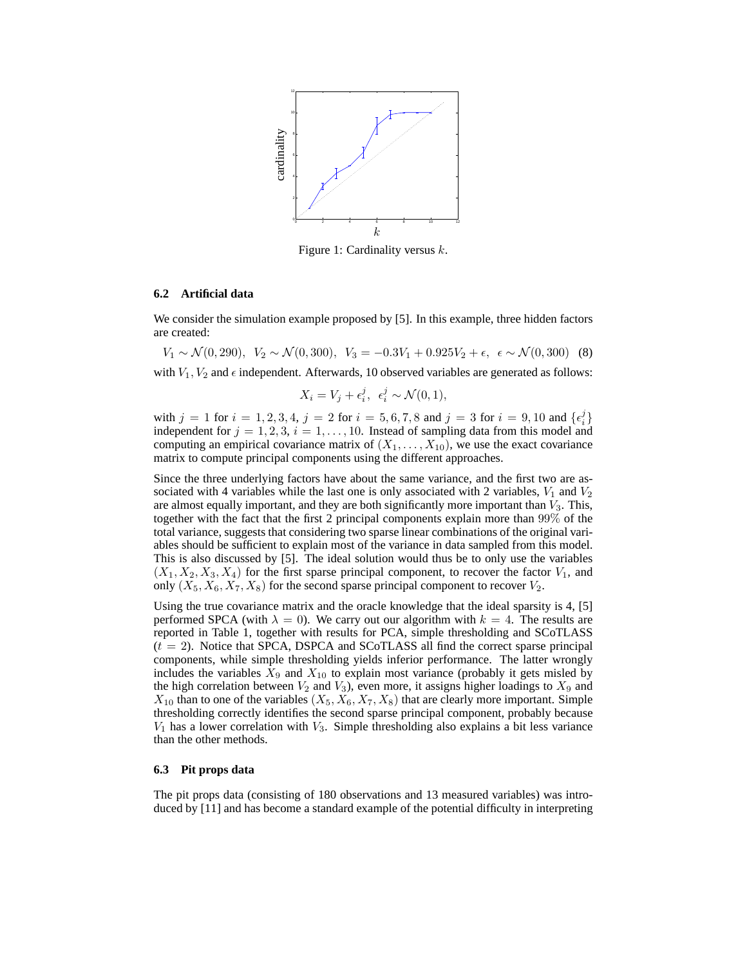

Figure 1: Cardinality versus  $k$ .

#### **6.2 Artificial data**

We consider the simulation example proposed by [5]. In this example, three hidden factors are created:

 $V_1 \sim \mathcal{N}(0, 290), V_2 \sim \mathcal{N}(0, 300), V_3 = -0.3V_1 + 0.925V_2 + \epsilon, \epsilon \sim \mathcal{N}(0, 300)$  (8) with  $V_1$ ,  $V_2$  and  $\epsilon$  independent. Afterwards, 10 observed variables are generated as follows:

$$
X_i = V_j + \epsilon_i^j, \ \epsilon_i^j \sim \mathcal{N}(0, 1),
$$

with  $j = 1$  for  $i = 1, 2, 3, 4$ ,  $j = 2$  for  $i = 5, 6, 7, 8$  and  $j = 3$  for  $i = 9, 10$  and  $\{\epsilon_i^j\}$ independent for  $j = 1, 2, 3, i = 1, \ldots, 10$ . Instead of sampling data from this model and computing an empirical covariance matrix of  $(X_1, \ldots, X_{10})$ , we use the exact covariance matrix to compute principal components using the different approaches.

Since the three underlying factors have about the same variance, and the first two are associated with 4 variables while the last one is only associated with 2 variables,  $V_1$  and  $V_2$ are almost equally important, and they are both significantly more important than  $V_3$ . This, together with the fact that the first 2 principal components explain more than 99% of the total variance, suggests that considering two sparse linear combinations of the original variables should be sufficient to explain most of the variance in data sampled from this model. This is also discussed by [5]. The ideal solution would thus be to only use the variables  $(X_1, X_2, X_3, X_4)$  for the first sparse principal component, to recover the factor  $V_1$ , and only  $(X_5, X_6, X_7, X_8)$  for the second sparse principal component to recover  $V_2$ .

Using the true covariance matrix and the oracle knowledge that the ideal sparsity is 4, [5] performed SPCA (with  $\lambda = 0$ ). We carry out our algorithm with  $k = 4$ . The results are reported in Table 1, together with results for PCA, simple thresholding and SCoTLASS  $(t = 2)$ . Notice that SPCA, DSPCA and SCoTLASS all find the correct sparse principal components, while simple thresholding yields inferior performance. The latter wrongly includes the variables  $X_9$  and  $X_{10}$  to explain most variance (probably it gets misled by the high correlation between  $V_2$  and  $V_3$ ), even more, it assigns higher loadings to  $X_9$  and  $X_{10}$  than to one of the variables  $(X_5, X_6, X_7, X_8)$  that are clearly more important. Simple thresholding correctly identifies the second sparse principal component, probably because  $V_1$  has a lower correlation with  $V_3$ . Simple thresholding also explains a bit less variance than the other methods.

## **6.3 Pit props data**

The pit props data (consisting of 180 observations and 13 measured variables) was introduced by [11] and has become a standard example of the potential difficulty in interpreting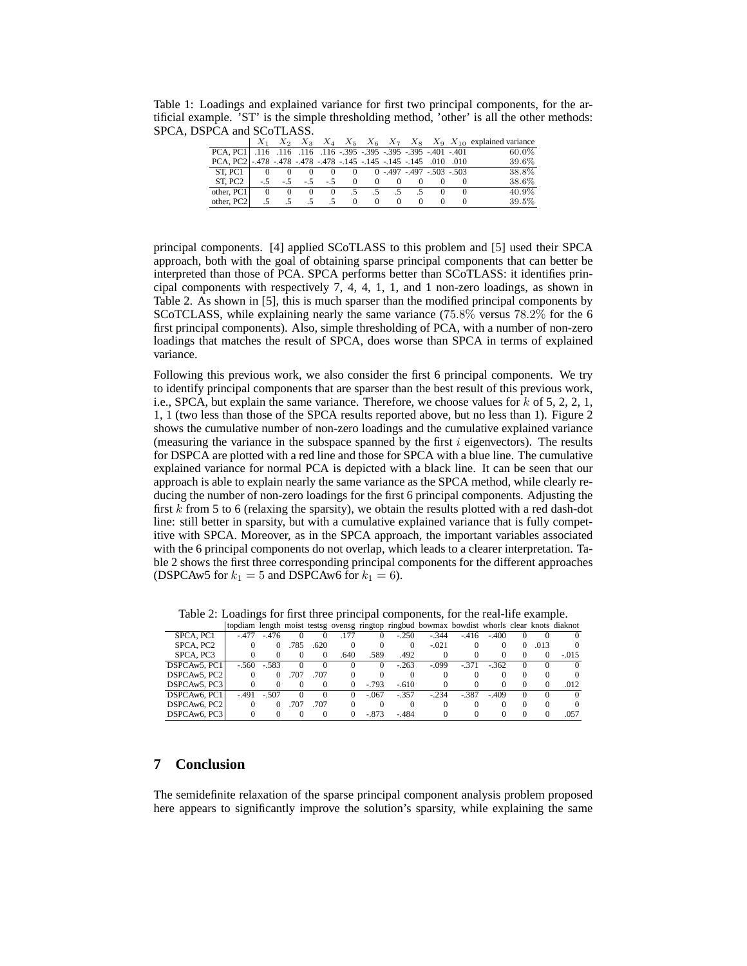Table 1: Loadings and explained variance for first two principal components, for the artificial example. 'ST' is the simple thresholding method, 'other' is all the other methods: SPCA, DSPCA and SCoTLASS.

|                                                                       |    |                                |                      |     |          |          |                                  |          |  |          | $X_1$ $X_2$ $X_3$ $X_4$ $X_5$ $X_6$ $X_7$ $X_8$ $X_9$ $X_{10}$ explained variance |
|-----------------------------------------------------------------------|----|--------------------------------|----------------------|-----|----------|----------|----------------------------------|----------|--|----------|-----------------------------------------------------------------------------------|
| 401. 401. 995. 995. 995. 995. 995. 116. 116. 116. 116. 116. PCA, PC1. |    |                                |                      |     |          |          |                                  |          |  |          | $60.0\%$                                                                          |
| 010. 010 010. 145 -.145 -.145 -.145 -.145 -.145 -.145 -.145 -.145     |    |                                |                      |     |          |          |                                  |          |  |          | 39.6%                                                                             |
| ST, PC1 0 0 0 0 0 0 0 0 -.497 -.497 -.503 -.503                       |    |                                |                      |     |          |          |                                  |          |  |          | 38.8%                                                                             |
| ST. PC2                                                               |    | $-0.5$ $-0.5$ $-0.5$ 0 0 0 0 0 |                      |     |          |          |                                  |          |  |          | 38.6%                                                                             |
| other. PC1                                                            |    | $\overline{0}$                 | $\Omega$<br>$\Omega$ |     |          |          | $0 \t .5 \t .5 \t .5 \t .5 \t 0$ |          |  | $\sim$ 0 | 40.9%                                                                             |
| other, PC2                                                            | .5 | $.5^{\circ}$                   |                      | - 5 | $\Omega$ | $\Omega$ | $\Omega$                         | $\Omega$ |  |          | 39.5%                                                                             |

principal components. [4] applied SCoTLASS to this problem and [5] used their SPCA approach, both with the goal of obtaining sparse principal components that can better be interpreted than those of PCA. SPCA performs better than SCoTLASS: it identifies principal components with respectively 7, 4, 4, 1, 1, and 1 non-zero loadings, as shown in Table 2. As shown in [5], this is much sparser than the modified principal components by SCoTCLASS, while explaining nearly the same variance (75.8% versus 78.2% for the 6 first principal components). Also, simple thresholding of PCA, with a number of non-zero loadings that matches the result of SPCA, does worse than SPCA in terms of explained variance.

Following this previous work, we also consider the first 6 principal components. We try to identify principal components that are sparser than the best result of this previous work, i.e., SPCA, but explain the same variance. Therefore, we choose values for  $k$  of 5, 2, 2, 1, 1, 1 (two less than those of the SPCA results reported above, but no less than 1). Figure 2 shows the cumulative number of non-zero loadings and the cumulative explained variance (measuring the variance in the subspace spanned by the first  $i$  eigenvectors). The results for DSPCA are plotted with a red line and those for SPCA with a blue line. The cumulative explained variance for normal PCA is depicted with a black line. It can be seen that our approach is able to explain nearly the same variance as the SPCA method, while clearly reducing the number of non-zero loadings for the first 6 principal components. Adjusting the first  $k$  from 5 to 6 (relaxing the sparsity), we obtain the results plotted with a red dash-dot line: still better in sparsity, but with a cumulative explained variance that is fully competitive with SPCA. Moreover, as in the SPCA approach, the important variables associated with the 6 principal components do not overlap, which leads to a clearer interpretation. Table 2 shows the first three corresponding principal components for the different approaches (DSPCAw5 for  $k_1 = 5$  and DSPCAw6 for  $k_1 = 6$ ).

|              |         |         |      |      |          |         |          | topdiam length moist testsg ovensg ringtop ringbud bowmax bowdist whorls clear knots diaknot |         |         |          |      |         |
|--------------|---------|---------|------|------|----------|---------|----------|----------------------------------------------------------------------------------------------|---------|---------|----------|------|---------|
| SPCA, PC1    | $-477$  | $-.476$ |      |      |          |         | $-.250$  | $-.344$                                                                                      | $-.416$ | $-.400$ |          |      |         |
| SPCA, PC2    |         |         | .785 | .620 | $\Omega$ |         | $\Omega$ | $-.021$                                                                                      |         |         | $\Omega$ | .013 |         |
| SPCA, PC3    |         |         |      |      | .640     | .589    | .492     |                                                                                              |         |         |          |      | $-.015$ |
| DSPCAw5, PC1 | $-.560$ | $-.583$ |      |      |          |         | $-.263$  | $-.099$                                                                                      | $-.371$ | $-.362$ |          |      |         |
| DSPCAw5, PC2 |         |         | .707 | .707 | 0        |         | 0        |                                                                                              |         |         |          |      |         |
| DSPCAw5, PC3 |         |         |      |      | 0        | $-.793$ | $-.610$  |                                                                                              |         |         |          |      | .012    |
| DSPCAw6, PC1 | $-491$  | $-.507$ |      |      |          | $-.067$ | $-.357$  | $-.234$                                                                                      | $-.387$ | $-.409$ |          |      |         |
| DSPCAw6, PC2 |         |         | .707 | .707 |          |         |          |                                                                                              |         |         |          |      |         |
| DSPCAw6, PC3 |         |         |      |      | 0        | $-.873$ | - 484    |                                                                                              |         |         |          |      | .057    |

Table 2: Loadings for first three principal components, for the real-life example.

# **7 Conclusion**

The semidefinite relaxation of the sparse principal component analysis problem proposed here appears to significantly improve the solution's sparsity, while explaining the same